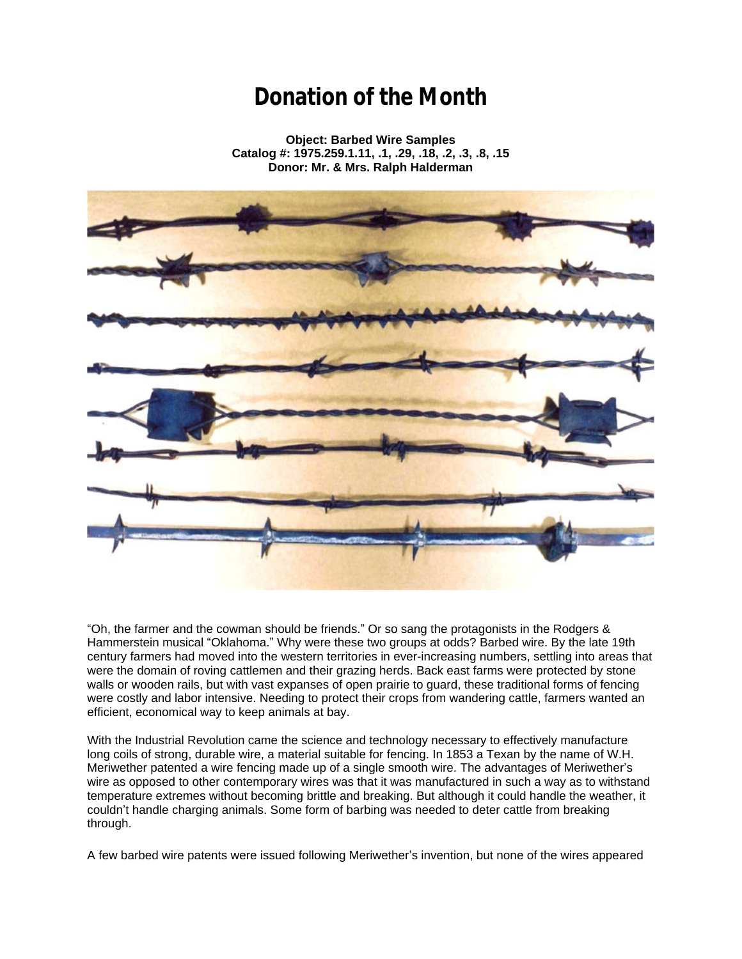## **Donation of the Month**

**Object: Barbed Wire Samples Catalog #: 1975.259.1.11, .1, .29, .18, .2, .3, .8, .15 Donor: Mr. & Mrs. Ralph Halderman**



"Oh, the farmer and the cowman should be friends." Or so sang the protagonists in the Rodgers & Hammerstein musical "Oklahoma." Why were these two groups at odds? Barbed wire. By the late 19th century farmers had moved into the western territories in ever-increasing numbers, settling into areas that were the domain of roving cattlemen and their grazing herds. Back east farms were protected by stone walls or wooden rails, but with vast expanses of open prairie to guard, these traditional forms of fencing were costly and labor intensive. Needing to protect their crops from wandering cattle, farmers wanted an efficient, economical way to keep animals at bay.

With the Industrial Revolution came the science and technology necessary to effectively manufacture long coils of strong, durable wire, a material suitable for fencing. In 1853 a Texan by the name of W.H. Meriwether patented a wire fencing made up of a single smooth wire. The advantages of Meriwether's wire as opposed to other contemporary wires was that it was manufactured in such a way as to withstand temperature extremes without becoming brittle and breaking. But although it could handle the weather, it couldn't handle charging animals. Some form of barbing was needed to deter cattle from breaking through.

A few barbed wire patents were issued following Meriwether's invention, but none of the wires appeared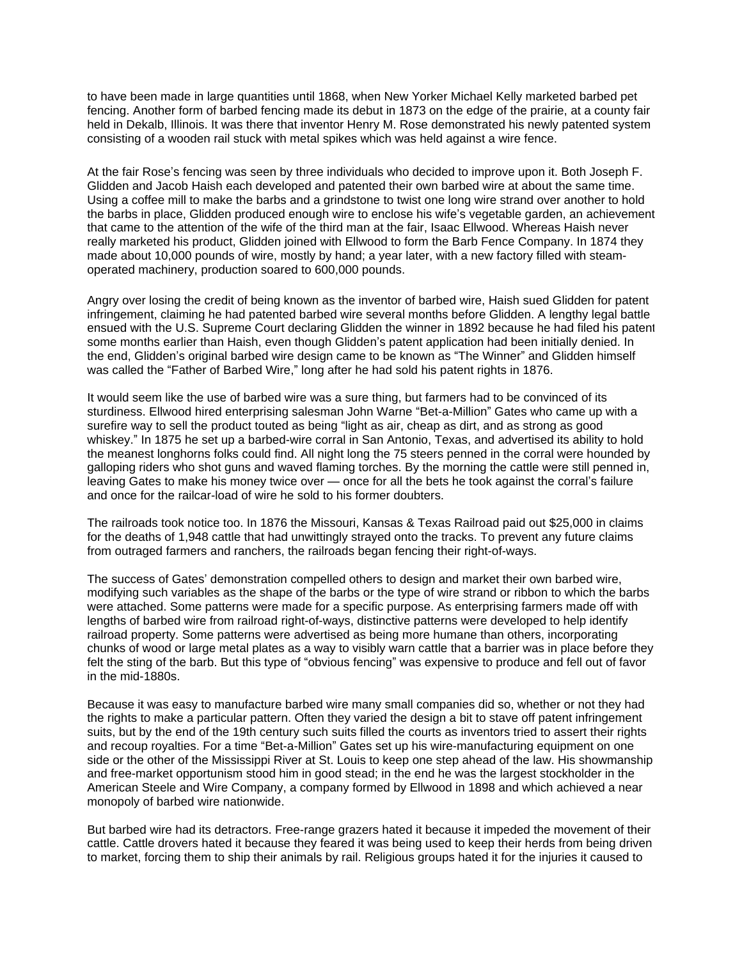to have been made in large quantities until 1868, when New Yorker Michael Kelly marketed barbed pet fencing. Another form of barbed fencing made its debut in 1873 on the edge of the prairie, at a county fair held in Dekalb, Illinois. It was there that inventor Henry M. Rose demonstrated his newly patented system consisting of a wooden rail stuck with metal spikes which was held against a wire fence.

At the fair Rose's fencing was seen by three individuals who decided to improve upon it. Both Joseph F. Glidden and Jacob Haish each developed and patented their own barbed wire at about the same time. Using a coffee mill to make the barbs and a grindstone to twist one long wire strand over another to hold the barbs in place, Glidden produced enough wire to enclose his wife's vegetable garden, an achievement that came to the attention of the wife of the third man at the fair, Isaac Ellwood. Whereas Haish never really marketed his product, Glidden joined with Ellwood to form the Barb Fence Company. In 1874 they made about 10,000 pounds of wire, mostly by hand; a year later, with a new factory filled with steamoperated machinery, production soared to 600,000 pounds.

Angry over losing the credit of being known as the inventor of barbed wire, Haish sued Glidden for patent infringement, claiming he had patented barbed wire several months before Glidden. A lengthy legal battle ensued with the U.S. Supreme Court declaring Glidden the winner in 1892 because he had filed his patent some months earlier than Haish, even though Glidden's patent application had been initially denied. In the end, Glidden's original barbed wire design came to be known as "The Winner" and Glidden himself was called the "Father of Barbed Wire," long after he had sold his patent rights in 1876.

It would seem like the use of barbed wire was a sure thing, but farmers had to be convinced of its sturdiness. Ellwood hired enterprising salesman John Warne "Bet-a-Million" Gates who came up with a surefire way to sell the product touted as being "light as air, cheap as dirt, and as strong as good whiskey." In 1875 he set up a barbed-wire corral in San Antonio, Texas, and advertised its ability to hold the meanest longhorns folks could find. All night long the 75 steers penned in the corral were hounded by galloping riders who shot guns and waved flaming torches. By the morning the cattle were still penned in, leaving Gates to make his money twice over — once for all the bets he took against the corral's failure and once for the railcar-load of wire he sold to his former doubters.

The railroads took notice too. In 1876 the Missouri, Kansas & Texas Railroad paid out \$25,000 in claims for the deaths of 1,948 cattle that had unwittingly strayed onto the tracks. To prevent any future claims from outraged farmers and ranchers, the railroads began fencing their right-of-ways.

The success of Gates' demonstration compelled others to design and market their own barbed wire, modifying such variables as the shape of the barbs or the type of wire strand or ribbon to which the barbs were attached. Some patterns were made for a specific purpose. As enterprising farmers made off with lengths of barbed wire from railroad right-of-ways, distinctive patterns were developed to help identify railroad property. Some patterns were advertised as being more humane than others, incorporating chunks of wood or large metal plates as a way to visibly warn cattle that a barrier was in place before they felt the sting of the barb. But this type of "obvious fencing" was expensive to produce and fell out of favor in the mid-1880s.

Because it was easy to manufacture barbed wire many small companies did so, whether or not they had the rights to make a particular pattern. Often they varied the design a bit to stave off patent infringement suits, but by the end of the 19th century such suits filled the courts as inventors tried to assert their rights and recoup royalties. For a time "Bet-a-Million" Gates set up his wire-manufacturing equipment on one side or the other of the Mississippi River at St. Louis to keep one step ahead of the law. His showmanship and free-market opportunism stood him in good stead; in the end he was the largest stockholder in the American Steele and Wire Company, a company formed by Ellwood in 1898 and which achieved a near monopoly of barbed wire nationwide.

But barbed wire had its detractors. Free-range grazers hated it because it impeded the movement of their cattle. Cattle drovers hated it because they feared it was being used to keep their herds from being driven to market, forcing them to ship their animals by rail. Religious groups hated it for the injuries it caused to